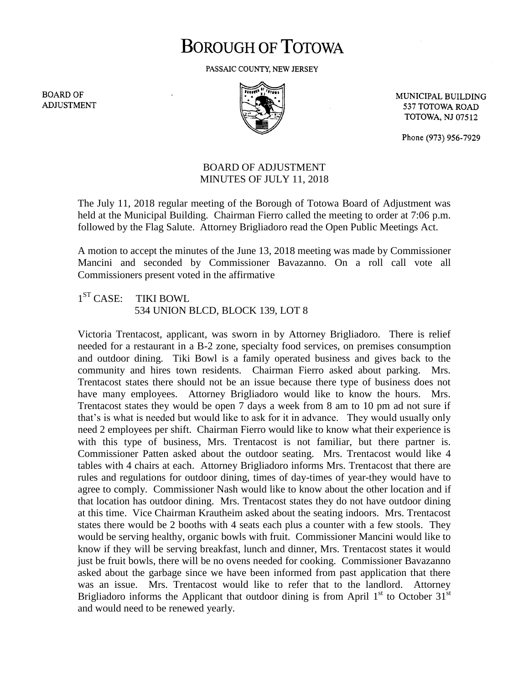## **BOROUGH OF TOTOWA**

PASSAIC COUNTY, NEW JERSEY

**BOARD OF ADJUSTMENT** 



MUNICIPAL BUILDING 537 TOTOWA ROAD **TOTOWA, NJ 07512** 

Phone (973) 956-7929

## BOARD OF ADJUSTMENT MINUTES OF JULY 11, 2018

The July 11, 2018 regular meeting of the Borough of Totowa Board of Adjustment was held at the Municipal Building. Chairman Fierro called the meeting to order at 7:06 p.m. followed by the Flag Salute. Attorney Brigliadoro read the Open Public Meetings Act.

A motion to accept the minutes of the June 13, 2018 meeting was made by Commissioner Mancini and seconded by Commissioner Bavazanno. On a roll call vote all Commissioners present voted in the affirmative

## $1^{ST}$  CASE: TIKI BOWL 534 UNION BLCD, BLOCK 139, LOT 8

Victoria Trentacost, applicant, was sworn in by Attorney Brigliadoro. There is relief needed for a restaurant in a B-2 zone, specialty food services, on premises consumption and outdoor dining. Tiki Bowl is a family operated business and gives back to the community and hires town residents. Chairman Fierro asked about parking. Mrs. Trentacost states there should not be an issue because there type of business does not have many employees. Attorney Brigliadoro would like to know the hours. Mrs. Trentacost states they would be open 7 days a week from 8 am to 10 pm ad not sure if that's is what is needed but would like to ask for it in advance. They would usually only need 2 employees per shift. Chairman Fierro would like to know what their experience is with this type of business, Mrs. Trentacost is not familiar, but there partner is. Commissioner Patten asked about the outdoor seating. Mrs. Trentacost would like 4 tables with 4 chairs at each. Attorney Brigliadoro informs Mrs. Trentacost that there are rules and regulations for outdoor dining, times of day-times of year-they would have to agree to comply. Commissioner Nash would like to know about the other location and if that location has outdoor dining. Mrs. Trentacost states they do not have outdoor dining at this time. Vice Chairman Krautheim asked about the seating indoors. Mrs. Trentacost states there would be 2 booths with 4 seats each plus a counter with a few stools. They would be serving healthy, organic bowls with fruit. Commissioner Mancini would like to know if they will be serving breakfast, lunch and dinner, Mrs. Trentacost states it would just be fruit bowls, there will be no ovens needed for cooking. Commissioner Bavazanno asked about the garbage since we have been informed from past application that there was an issue. Mrs. Trentacost would like to refer that to the landlord. Attorney Brigliadoro informs the Applicant that outdoor dining is from April  $1<sup>st</sup>$  to October  $31<sup>st</sup>$ and would need to be renewed yearly.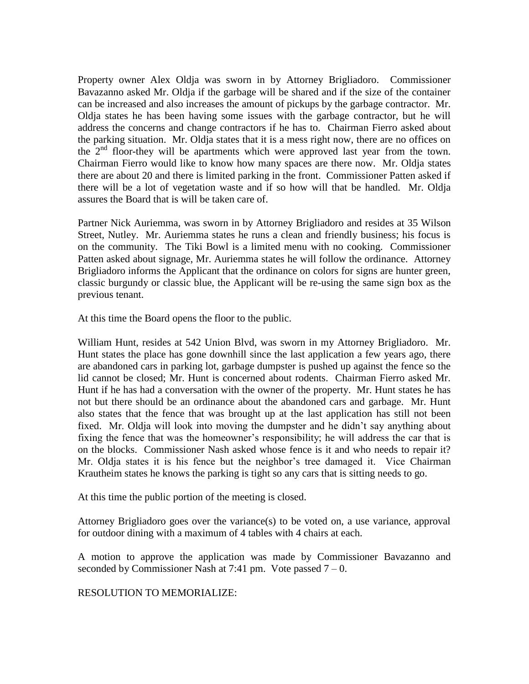Property owner Alex Oldja was sworn in by Attorney Brigliadoro. Commissioner Bavazanno asked Mr. Oldja if the garbage will be shared and if the size of the container can be increased and also increases the amount of pickups by the garbage contractor. Mr. Oldja states he has been having some issues with the garbage contractor, but he will address the concerns and change contractors if he has to. Chairman Fierro asked about the parking situation. Mr. Oldja states that it is a mess right now, there are no offices on the  $2<sup>nd</sup>$  floor-they will be apartments which were approved last year from the town. Chairman Fierro would like to know how many spaces are there now. Mr. Oldja states there are about 20 and there is limited parking in the front. Commissioner Patten asked if there will be a lot of vegetation waste and if so how will that be handled. Mr. Oldja assures the Board that is will be taken care of.

Partner Nick Auriemma, was sworn in by Attorney Brigliadoro and resides at 35 Wilson Street, Nutley. Mr. Auriemma states he runs a clean and friendly business; his focus is on the community. The Tiki Bowl is a limited menu with no cooking. Commissioner Patten asked about signage, Mr. Auriemma states he will follow the ordinance. Attorney Brigliadoro informs the Applicant that the ordinance on colors for signs are hunter green, classic burgundy or classic blue, the Applicant will be re-using the same sign box as the previous tenant.

At this time the Board opens the floor to the public.

William Hunt, resides at 542 Union Blvd, was sworn in my Attorney Brigliadoro. Mr. Hunt states the place has gone downhill since the last application a few years ago, there are abandoned cars in parking lot, garbage dumpster is pushed up against the fence so the lid cannot be closed; Mr. Hunt is concerned about rodents. Chairman Fierro asked Mr. Hunt if he has had a conversation with the owner of the property. Mr. Hunt states he has not but there should be an ordinance about the abandoned cars and garbage. Mr. Hunt also states that the fence that was brought up at the last application has still not been fixed. Mr. Oldja will look into moving the dumpster and he didn't say anything about fixing the fence that was the homeowner's responsibility; he will address the car that is on the blocks. Commissioner Nash asked whose fence is it and who needs to repair it? Mr. Oldja states it is his fence but the neighbor's tree damaged it. Vice Chairman Krautheim states he knows the parking is tight so any cars that is sitting needs to go.

At this time the public portion of the meeting is closed.

Attorney Brigliadoro goes over the variance(s) to be voted on, a use variance, approval for outdoor dining with a maximum of 4 tables with 4 chairs at each.

A motion to approve the application was made by Commissioner Bavazanno and seconded by Commissioner Nash at 7:41 pm. Vote passed  $7 - 0$ .

RESOLUTION TO MEMORIALIZE: